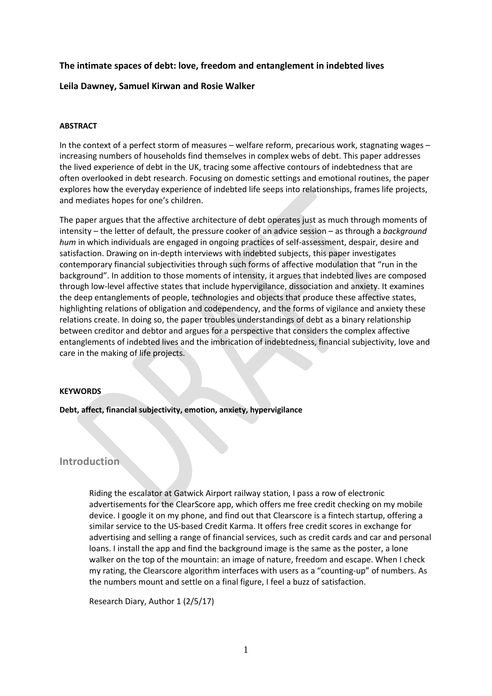## **The intimate spaces of debt: love, freedom and entanglement in indebted lives**

## **Leila Dawney, Samuel Kirwan and Rosie Walker**

### **ABSTRACT**

In the context of a perfect storm of measures – welfare reform, precarious work, stagnating wages – increasing numbers of households find themselves in complex webs of debt. This paper addresses the lived experience of debt in the UK, tracing some affective contours of indebtedness that are often overlooked in debt research. Focusing on domestic settings and emotional routines, the paper explores how the everyday experience of indebted life seeps into relationships, frames life projects, and mediates hopes for one's children.

The paper argues that the affective architecture of debt operates just as much through moments of intensity – the letter of default, the pressure cooker of an advice session – as through a *background hum* in which individuals are engaged in ongoing practices of self-assessment, despair, desire and satisfaction. Drawing on in-depth interviews with indebted subjects, this paper investigates contemporary financial subjectivities through such forms of affective modulation that "run in the background". In addition to those moments of intensity, it argues that indebted lives are composed through low-level affective states that include hypervigilance, dissociation and anxiety. It examines the deep entanglements of people, technologies and objects that produce these affective states, highlighting relations of obligation and codependency, and the forms of vigilance and anxiety these relations create. In doing so, the paper troubles understandings of debt as a binary relationship between creditor and debtor and argues for a perspective that considers the complex affective entanglements of indebted lives and the imbrication of indebtedness, financial subjectivity, love and care in the making of life projects.

### **KEYWORDS**

### **Debt, affect, financial subjectivity, emotion, anxiety, hypervigilance**

## **Introduction**

Riding the escalator at Gatwick Airport railway station, I pass a row of electronic advertisements for the ClearScore app, which offers me free credit checking on my mobile device. I google it on my phone, and find out that Clearscore is a fintech startup, offering a similar service to the US-based Credit Karma. It offers free credit scores in exchange for advertising and selling a range of financial services, such as credit cards and car and personal loans. I install the app and find the background image is the same as the poster, a lone walker on the top of the mountain: an image of nature, freedom and escape. When I check my rating, the Clearscore algorithm interfaces with users as a "counting-up" of numbers. As the numbers mount and settle on a final figure, I feel a buzz of satisfaction.

Research Diary, Author 1 (2/5/17)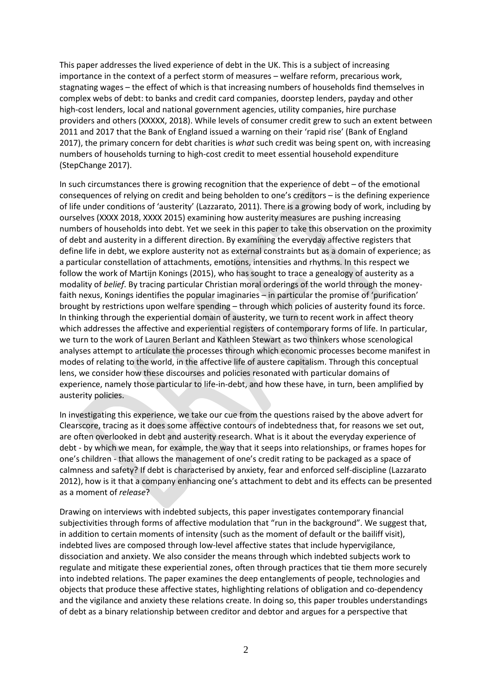This paper addresses the lived experience of debt in the UK. This is a subject of increasing importance in the context of a perfect storm of measures – welfare reform, precarious work, stagnating wages – the effect of which is that increasing numbers of households find themselves in complex webs of debt: to banks and credit card companies, doorstep lenders, payday and other high-cost lenders, local and national government agencies, utility companies, hire purchase providers and others (XXXXX, 2018). While levels of consumer credit grew to such an extent between 2011 and 2017 that the Bank of England issued a warning on their 'rapid rise' (Bank of England 2017), the primary concern for debt charities is *what* such credit was being spent on, with increasing numbers of households turning to high-cost credit to meet essential household expenditure (StepChange 2017).

In such circumstances there is growing recognition that the experience of debt – of the emotional consequences of relying on credit and being beholden to one's creditors – is the defining experience of life under conditions of 'austerity' (Lazzarato, 2011). There is a growing body of work, including by ourselves (XXXX 2018, XXXX 2015) examining how austerity measures are pushing increasing numbers of households into debt. Yet we seek in this paper to take this observation on the proximity of debt and austerity in a different direction. By examining the everyday affective registers that define life in debt, we explore austerity not as external constraints but as a domain of experience; as a particular constellation of attachments, emotions, intensities and rhythms. In this respect we follow the work of Martijn Konings (2015), who has sought to trace a genealogy of austerity as a modality of *belief*. By tracing particular Christian moral orderings of the world through the moneyfaith nexus, Konings identifies the popular imaginaries – in particular the promise of 'purification' brought by restrictions upon welfare spending – through which policies of austerity found its force. In thinking through the experiential domain of austerity, we turn to recent work in affect theory which addresses the affective and experiential registers of contemporary forms of life. In particular, we turn to the work of Lauren Berlant and Kathleen Stewart as two thinkers whose scenological analyses attempt to articulate the processes through which economic processes become manifest in modes of relating to the world, in the affective life of austere capitalism. Through this conceptual lens, we consider how these discourses and policies resonated with particular domains of experience, namely those particular to life-in-debt, and how these have, in turn, been amplified by austerity policies.

In investigating this experience, we take our cue from the questions raised by the above advert for Clearscore, tracing as it does some affective contours of indebtedness that, for reasons we set out, are often overlooked in debt and austerity research. What is it about the everyday experience of debt - by which we mean, for example, the way that it seeps into relationships, or frames hopes for one's children - that allows the management of one's credit rating to be packaged as a space of calmness and safety? If debt is characterised by anxiety, fear and enforced self-discipline (Lazzarato 2012), how is it that a company enhancing one's attachment to debt and its effects can be presented as a moment of *release*?

Drawing on interviews with indebted subjects, this paper investigates contemporary financial subjectivities through forms of affective modulation that "run in the background". We suggest that, in addition to certain moments of intensity (such as the moment of default or the bailiff visit), indebted lives are composed through low-level affective states that include hypervigilance, dissociation and anxiety. We also consider the means through which indebted subjects work to regulate and mitigate these experiential zones, often through practices that tie them more securely into indebted relations. The paper examines the deep entanglements of people, technologies and objects that produce these affective states, highlighting relations of obligation and co-dependency and the vigilance and anxiety these relations create. In doing so, this paper troubles understandings of debt as a binary relationship between creditor and debtor and argues for a perspective that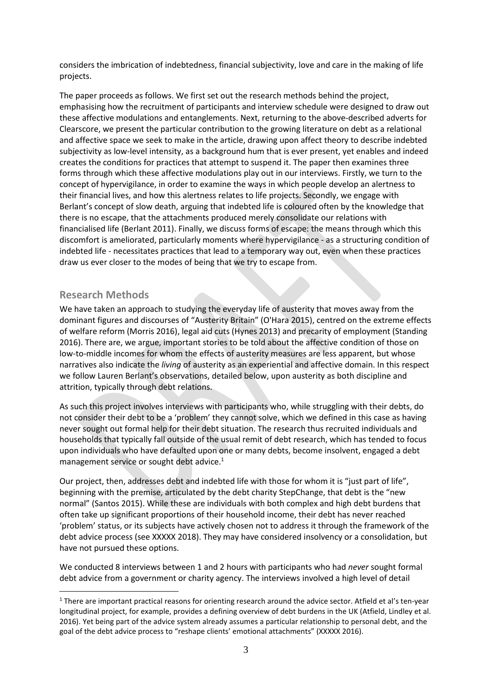considers the imbrication of indebtedness, financial subjectivity, love and care in the making of life projects.

The paper proceeds as follows. We first set out the research methods behind the project, emphasising how the recruitment of participants and interview schedule were designed to draw out these affective modulations and entanglements. Next, returning to the above-described adverts for Clearscore, we present the particular contribution to the growing literature on debt as a relational and affective space we seek to make in the article, drawing upon affect theory to describe indebted subjectivity as low-level intensity, as a background hum that is ever present, yet enables and indeed creates the conditions for practices that attempt to suspend it. The paper then examines three forms through which these affective modulations play out in our interviews. Firstly, we turn to the concept of hypervigilance, in order to examine the ways in which people develop an alertness to their financial lives, and how this alertness relates to life projects. Secondly, we engage with Berlant's concept of slow death, arguing that indebted life is coloured often by the knowledge that there is no escape, that the attachments produced merely consolidate our relations with financialised life (Berlant 2011). Finally, we discuss forms of escape: the means through which this discomfort is ameliorated, particularly moments where hypervigilance - as a structuring condition of indebted life - necessitates practices that lead to a temporary way out, even when these practices draw us ever closer to the modes of being that we try to escape from.

# **Research Methods**

<u>.</u>

We have taken an approach to studying the everyday life of austerity that moves away from the dominant figures and discourses of "Austerity Britain" (O'Hara 2015), centred on the extreme effects of welfare reform (Morris 2016), legal aid cuts (Hynes 2013) and precarity of employment (Standing 2016). There are, we argue, important stories to be told about the affective condition of those on low-to-middle incomes for whom the effects of austerity measures are less apparent, but whose narratives also indicate the *living* of austerity as an experiential and affective domain. In this respect we follow Lauren Berlant's observations, detailed below, upon austerity as both discipline and attrition, typically through debt relations.

As such this project involves interviews with participants who, while struggling with their debts, do not consider their debt to be a 'problem' they cannot solve, which we defined in this case as having never sought out formal help for their debt situation. The research thus recruited individuals and households that typically fall outside of the usual remit of debt research, which has tended to focus upon individuals who have defaulted upon one or many debts, become insolvent, engaged a debt management service or sought debt advice.<sup>1</sup>

Our project, then, addresses debt and indebted life with those for whom it is "just part of life", beginning with the premise, articulated by the debt charity StepChange, that debt is the "new normal" (Santos 2015). While these are individuals with both complex and high debt burdens that often take up significant proportions of their household income, their debt has never reached 'problem' status, or its subjects have actively chosen not to address it through the framework of the debt advice process (see XXXXX 2018). They may have considered insolvency or a consolidation, but have not pursued these options.

We conducted 8 interviews between 1 and 2 hours with participants who had *never* sought formal debt advice from a government or charity agency. The interviews involved a high level of detail

<sup>&</sup>lt;sup>1</sup> There are important practical reasons for orienting research around the advice sector. Atfield et al's ten-year longitudinal project, for example, provides a defining overview of debt burdens in the UK (Atfield, Lindley et al. 2016). Yet being part of the advice system already assumes a particular relationship to personal debt, and the goal of the debt advice process to "reshape clients' emotional attachments" (XXXXX 2016).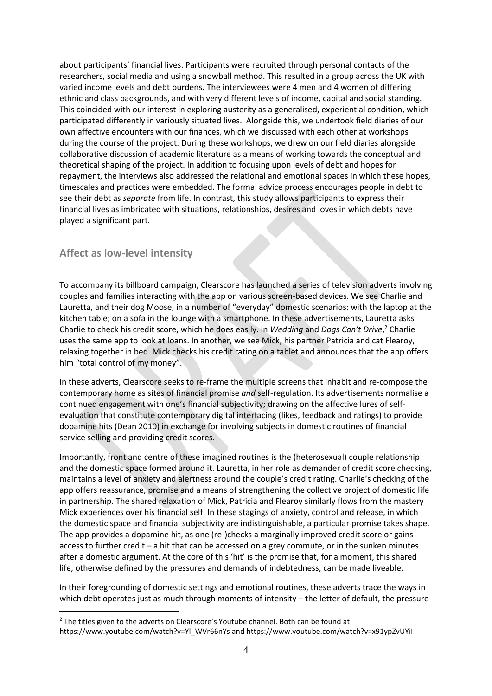about participants' financial lives. Participants were recruited through personal contacts of the researchers, social media and using a snowball method. This resulted in a group across the UK with varied income levels and debt burdens. The interviewees were 4 men and 4 women of differing ethnic and class backgrounds, and with very different levels of income, capital and social standing. This coincided with our interest in exploring austerity as a generalised, experiential condition, which participated differently in variously situated lives. Alongside this, we undertook field diaries of our own affective encounters with our finances, which we discussed with each other at workshops during the course of the project. During these workshops, we drew on our field diaries alongside collaborative discussion of academic literature as a means of working towards the conceptual and theoretical shaping of the project. In addition to focusing upon levels of debt and hopes for repayment, the interviews also addressed the relational and emotional spaces in which these hopes, timescales and practices were embedded. The formal advice process encourages people in debt to see their debt as *separate* from life. In contrast, this study allows participants to express their financial lives as imbricated with situations, relationships, desires and loves in which debts have played a significant part.

# **Affect as low-level intensity**

<u>.</u>

To accompany its billboard campaign, Clearscore has launched a series of television adverts involving couples and families interacting with the app on various screen-based devices. We see Charlie and Lauretta, and their dog Moose, in a number of "everyday" domestic scenarios: with the laptop at the kitchen table; on a sofa in the lounge with a smartphone. In these advertisements, Lauretta asks Charlie to check his credit score, which he does easily. In *Wedding* and *Dogs Can't Drive*, <sup>2</sup> Charlie uses the same app to look at loans. In another, we see Mick, his partner Patricia and cat Flearoy, relaxing together in bed. Mick checks his credit rating on a tablet and announces that the app offers him "total control of my money".

In these adverts, Clearscore seeks to re-frame the multiple screens that inhabit and re-compose the contemporary home as sites of financial promise *and* self-regulation. Its advertisements normalise a continued engagement with one's financial subjectivity; drawing on the affective lures of selfevaluation that constitute contemporary digital interfacing (likes, feedback and ratings) to provide dopamine hits (Dean 2010) in exchange for involving subjects in domestic routines of financial service selling and providing credit scores.

Importantly, front and centre of these imagined routines is the (heterosexual) couple relationship and the domestic space formed around it. Lauretta, in her role as demander of credit score checking, maintains a level of anxiety and alertness around the couple's credit rating. Charlie's checking of the app offers reassurance, promise and a means of strengthening the collective project of domestic life in partnership. The shared relaxation of Mick, Patricia and Flearoy similarly flows from the mastery Mick experiences over his financial self. In these stagings of anxiety, control and release, in which the domestic space and financial subjectivity are indistinguishable, a particular promise takes shape. The app provides a dopamine hit, as one (re-)checks a marginally improved credit score or gains access to further credit – a hit that can be accessed on a grey commute, or in the sunken minutes after a domestic argument. At the core of this 'hit' is the promise that, for a moment, this shared life, otherwise defined by the pressures and demands of indebtedness, can be made liveable.

In their foregrounding of domestic settings and emotional routines, these adverts trace the ways in which debt operates just as much through moments of intensity – the letter of default, the pressure

<sup>&</sup>lt;sup>2</sup> The titles given to the adverts on Clearscore's Youtube channel. Both can be found at https://www.youtube.com/watch?v=Yl\_WVr66nYs and https://www.youtube.com/watch?v=x91ypZvUYiI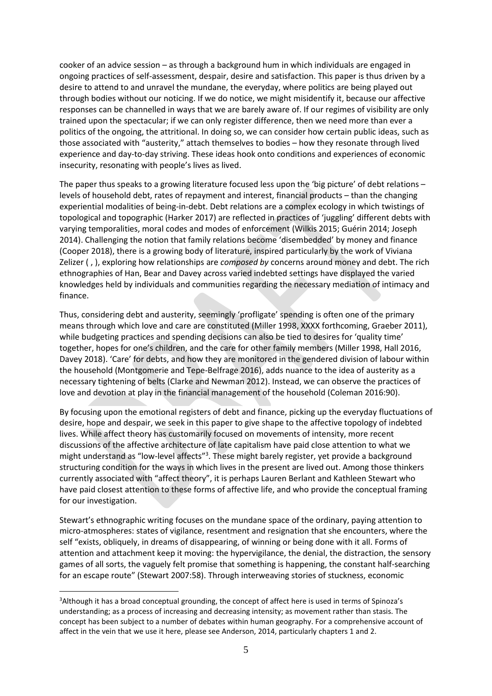cooker of an advice session – as through a background hum in which individuals are engaged in ongoing practices of self-assessment, despair, desire and satisfaction. This paper is thus driven by a desire to attend to and unravel the mundane, the everyday, where politics are being played out through bodies without our noticing. If we do notice, we might misidentify it, because our affective responses can be channelled in ways that we are barely aware of. If our regimes of visibility are only trained upon the spectacular; if we can only register difference, then we need more than ever a politics of the ongoing, the attritional. In doing so, we can consider how certain public ideas, such as those associated with "austerity," attach themselves to bodies – how they resonate through lived experience and day-to-day striving. These ideas hook onto conditions and experiences of economic insecurity, resonating with people's lives as lived.

The paper thus speaks to a growing literature focused less upon the 'big picture' of debt relations – levels of household debt, rates of repayment and interest, financial products – than the changing experiential modalities of being-in-debt. Debt relations are a complex ecology in which twistings of topological and topographic (Harker 2017) are reflected in practices of 'juggling' different debts with varying temporalities, moral codes and modes of enforcement (Wilkis 2015; Guérin 2014; Joseph 2014). Challenging the notion that family relations become 'disembedded' by money and finance (Cooper 2018), there is a growing body of literature, inspired particularly by the work of Viviana Zelizer ( , ), exploring how relationships are *composed by* concerns around money and debt. The rich ethnographies of Han, Bear and Davey across varied indebted settings have displayed the varied knowledges held by individuals and communities regarding the necessary mediation of intimacy and finance.

Thus, considering debt and austerity, seemingly 'profligate' spending is often one of the primary means through which love and care are constituted (Miller 1998, XXXX forthcoming, Graeber 2011), while budgeting practices and spending decisions can also be tied to desires for 'quality time' together, hopes for one's children, and the care for other family members (Miller 1998, Hall 2016, Davey 2018). 'Care' for debts, and how they are monitored in the gendered division of labour within the household (Montgomerie and Tepe-Belfrage 2016), adds nuance to the idea of austerity as a necessary tightening of belts (Clarke and Newman 2012). Instead, we can observe the practices of love and devotion at play in the financial management of the household (Coleman 2016:90).

By focusing upon the emotional registers of debt and finance, picking up the everyday fluctuations of desire, hope and despair, we seek in this paper to give shape to the affective topology of indebted lives. While affect theory has customarily focused on movements of intensity, more recent discussions of the affective architecture of late capitalism have paid close attention to what we might understand as "low-level affects"<sup>3</sup>. These might barely register, yet provide a background structuring condition for the ways in which lives in the present are lived out. Among those thinkers currently associated with "affect theory", it is perhaps Lauren Berlant and Kathleen Stewart who have paid closest attention to these forms of affective life, and who provide the conceptual framing for our investigation.

Stewart's ethnographic writing focuses on the mundane space of the ordinary, paying attention to micro-atmospheres: states of vigilance, resentment and resignation that she encounters, where the self "exists, obliquely, in dreams of disappearing, of winning or being done with it all. Forms of attention and attachment keep it moving: the hypervigilance, the denial, the distraction, the sensory games of all sorts, the vaguely felt promise that something is happening, the constant half-searching for an escape route" (Stewart 2007:58). Through interweaving stories of stuckness, economic

<u>.</u>

<sup>&</sup>lt;sup>3</sup>Although it has a broad conceptual grounding, the concept of affect here is used in terms of Spinoza's understanding; as a process of increasing and decreasing intensity; as movement rather than stasis. The concept has been subject to a number of debates within human geography. For a comprehensive account of affect in the vein that we use it here, please see Anderson, 2014, particularly chapters 1 and 2.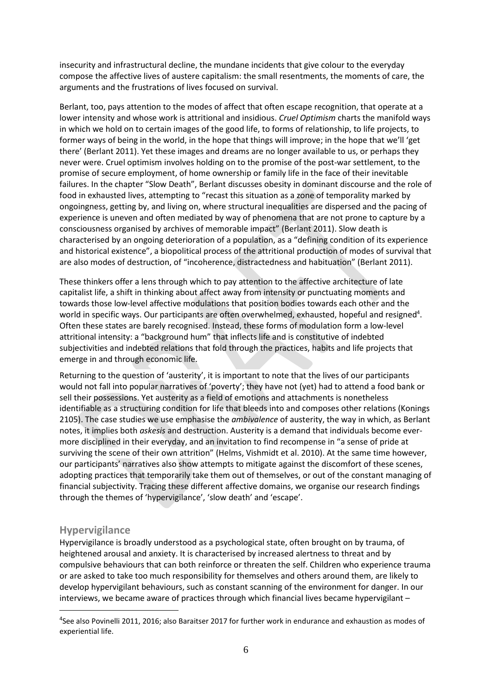insecurity and infrastructural decline, the mundane incidents that give colour to the everyday compose the affective lives of austere capitalism: the small resentments, the moments of care, the arguments and the frustrations of lives focused on survival.

Berlant, too, pays attention to the modes of affect that often escape recognition, that operate at a lower intensity and whose work is attritional and insidious. *Cruel Optimism* charts the manifold ways in which we hold on to certain images of the good life, to forms of relationship, to life projects, to former ways of being in the world, in the hope that things will improve; in the hope that we'll 'get there' (Berlant 2011). Yet these images and dreams are no longer available to us, or perhaps they never were. Cruel optimism involves holding on to the promise of the post-war settlement, to the promise of secure employment, of home ownership or family life in the face of their inevitable failures. In the chapter "Slow Death", Berlant discusses obesity in dominant discourse and the role of food in exhausted lives, attempting to "recast this situation as a zone of temporality marked by ongoingness, getting by, and living on, where structural inequalities are dispersed and the pacing of experience is uneven and often mediated by way of phenomena that are not prone to capture by a consciousness organised by archives of memorable impact" (Berlant 2011). Slow death is characterised by an ongoing deterioration of a population, as a "defining condition of its experience and historical existence", a biopolitical process of the attritional production of modes of survival that are also modes of destruction, of "incoherence, distractedness and habituation" (Berlant 2011).

These thinkers offer a lens through which to pay attention to the affective architecture of late capitalist life, a shift in thinking about affect away from intensity or punctuating moments and towards those low-level affective modulations that position bodies towards each other and the world in specific ways. Our participants are often overwhelmed, exhausted, hopeful and resigned<sup>4</sup>. Often these states are barely recognised. Instead, these forms of modulation form a low-level attritional intensity: a "background hum" that inflects life and is constitutive of indebted subjectivities and indebted relations that fold through the practices, habits and life projects that emerge in and through economic life.

Returning to the question of 'austerity', it is important to note that the lives of our participants would not fall into popular narratives of 'poverty'; they have not (yet) had to attend a food bank or sell their possessions. Yet austerity as a field of emotions and attachments is nonetheless identifiable as a structuring condition for life that bleeds into and composes other relations (Konings 2105). The case studies we use emphasise the *ambivalence* of austerity, the way in which, as Berlant notes, it implies both *askesis* and destruction. Austerity is a demand that individuals become evermore disciplined in their everyday, and an invitation to find recompense in "a sense of pride at surviving the scene of their own attrition" (Helms, Vishmidt et al. 2010). At the same time however, our participants' narratives also show attempts to mitigate against the discomfort of these scenes, adopting practices that temporarily take them out of themselves, or out of the constant managing of financial subjectivity. Tracing these different affective domains, we organise our research findings through the themes of 'hypervigilance', 'slow death' and 'escape'.

# **Hypervigilance**

1

Hypervigilance is broadly understood as a psychological state, often brought on by trauma, of heightened arousal and anxiety. It is characterised by increased alertness to threat and by compulsive behaviours that can both reinforce or threaten the self. Children who experience trauma or are asked to take too much responsibility for themselves and others around them, are likely to develop hypervigilant behaviours, such as constant scanning of the environment for danger. In our interviews, we became aware of practices through which financial lives became hypervigilant –

<sup>4</sup> See also Povinelli 2011, 2016; also Baraitser 2017 for further work in endurance and exhaustion as modes of experiential life.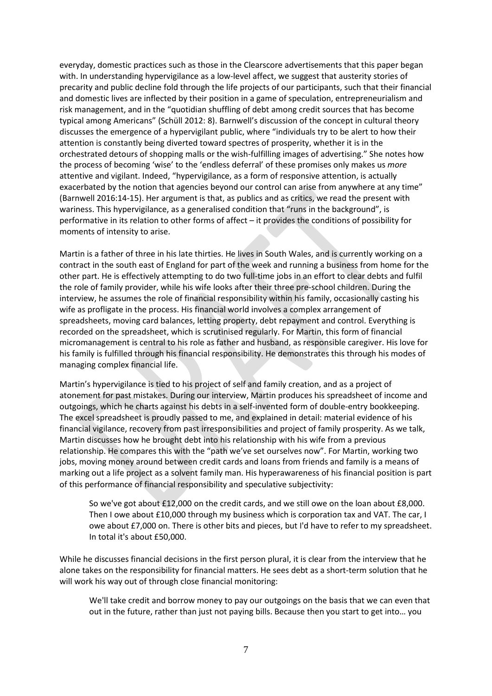everyday, domestic practices such as those in the Clearscore advertisements that this paper began with. In understanding hypervigilance as a low-level affect, we suggest that austerity stories of precarity and public decline fold through the life projects of our participants, such that their financial and domestic lives are inflected by their position in a game of speculation, entrepreneurialism and risk management, and in the "quotidian shuffling of debt among credit sources that has become typical among Americans" (Schüll 2012: 8). Barnwell's discussion of the concept in cultural theory discusses the emergence of a hypervigilant public, where "individuals try to be alert to how their attention is constantly being diverted toward spectres of prosperity, whether it is in the orchestrated detours of shopping malls or the wish-fulfilling images of advertising." She notes how the process of becoming 'wise' to the 'endless deferral' of these promises only makes us *more* attentive and vigilant. Indeed, "hypervigilance, as a form of responsive attention, is actually exacerbated by the notion that agencies beyond our control can arise from anywhere at any time" (Barnwell 2016:14-15). Her argument is that, as publics and as critics, we read the present with wariness. This hypervigilance, as a generalised condition that "runs in the background", is performative in its relation to other forms of affect – it provides the conditions of possibility for moments of intensity to arise.

Martin is a father of three in his late thirties. He lives in South Wales, and is currently working on a contract in the south east of England for part of the week and running a business from home for the other part. He is effectively attempting to do two full-time jobs in an effort to clear debts and fulfil the role of family provider, while his wife looks after their three pre-school children. During the interview, he assumes the role of financial responsibility within his family, occasionally casting his wife as profligate in the process. His financial world involves a complex arrangement of spreadsheets, moving card balances, letting property, debt repayment and control. Everything is recorded on the spreadsheet, which is scrutinised regularly. For Martin, this form of financial micromanagement is central to his role as father and husband, as responsible caregiver. His love for his family is fulfilled through his financial responsibility. He demonstrates this through his modes of managing complex financial life.

Martin's hypervigilance is tied to his project of self and family creation, and as a project of atonement for past mistakes. During our interview, Martin produces his spreadsheet of income and outgoings, which he charts against his debts in a self-invented form of double-entry bookkeeping. The excel spreadsheet is proudly passed to me, and explained in detail: material evidence of his financial vigilance, recovery from past irresponsibilities and project of family prosperity. As we talk, Martin discusses how he brought debt into his relationship with his wife from a previous relationship. He compares this with the "path we've set ourselves now". For Martin, working two jobs, moving money around between credit cards and loans from friends and family is a means of marking out a life project as a solvent family man. His hyperawareness of his financial position is part of this performance of financial responsibility and speculative subjectivity:

So we've got about £12,000 on the credit cards, and we still owe on the loan about £8,000. Then I owe about £10,000 through my business which is corporation tax and VAT. The car, I owe about £7,000 on. There is other bits and pieces, but I'd have to refer to my spreadsheet. In total it's about £50,000.

While he discusses financial decisions in the first person plural, it is clear from the interview that he alone takes on the responsibility for financial matters. He sees debt as a short-term solution that he will work his way out of through close financial monitoring:

We'll take credit and borrow money to pay our outgoings on the basis that we can even that out in the future, rather than just not paying bills. Because then you start to get into… you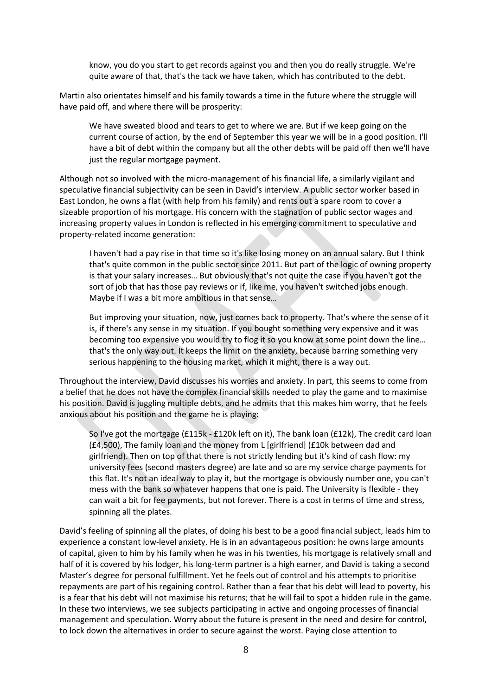know, you do you start to get records against you and then you do really struggle. We're quite aware of that, that's the tack we have taken, which has contributed to the debt.

Martin also orientates himself and his family towards a time in the future where the struggle will have paid off, and where there will be prosperity:

We have sweated blood and tears to get to where we are. But if we keep going on the current course of action, by the end of September this year we will be in a good position. I'll have a bit of debt within the company but all the other debts will be paid off then we'll have just the regular mortgage payment.

Although not so involved with the micro-management of his financial life, a similarly vigilant and speculative financial subjectivity can be seen in David's interview. A public sector worker based in East London, he owns a flat (with help from his family) and rents out a spare room to cover a sizeable proportion of his mortgage. His concern with the stagnation of public sector wages and increasing property values in London is reflected in his emerging commitment to speculative and property-related income generation:

I haven't had a pay rise in that time so it's like losing money on an annual salary. But I think that's quite common in the public sector since 2011. But part of the logic of owning property is that your salary increases… But obviously that's not quite the case if you haven't got the sort of job that has those pay reviews or if, like me, you haven't switched jobs enough. Maybe if I was a bit more ambitious in that sense…

But improving your situation, now, just comes back to property. That's where the sense of it is, if there's any sense in my situation. If you bought something very expensive and it was becoming too expensive you would try to flog it so you know at some point down the line… that's the only way out. It keeps the limit on the anxiety, because barring something very serious happening to the housing market, which it might, there is a way out.

Throughout the interview, David discusses his worries and anxiety. In part, this seems to come from a belief that he does not have the complex financial skills needed to play the game and to maximise his position. David is juggling multiple debts, and he admits that this makes him worry, that he feels anxious about his position and the game he is playing:

So I've got the mortgage (£115k - £120k left on it), The bank loan (£12k), The credit card loan (£4,500), The family loan and the money from L [girlfriend] (£10k between dad and girlfriend). Then on top of that there is not strictly lending but it's kind of cash flow: my university fees (second masters degree) are late and so are my service charge payments for this flat. It's not an ideal way to play it, but the mortgage is obviously number one, you can't mess with the bank so whatever happens that one is paid. The University is flexible - they can wait a bit for fee payments, but not forever. There is a cost in terms of time and stress, spinning all the plates.

David's feeling of spinning all the plates, of doing his best to be a good financial subject, leads him to experience a constant low-level anxiety. He is in an advantageous position: he owns large amounts of capital, given to him by his family when he was in his twenties, his mortgage is relatively small and half of it is covered by his lodger, his long-term partner is a high earner, and David is taking a second Master's degree for personal fulfillment. Yet he feels out of control and his attempts to prioritise repayments are part of his regaining control. Rather than a fear that his debt will lead to poverty, his is a fear that his debt will not maximise his returns; that he will fail to spot a hidden rule in the game. In these two interviews, we see subjects participating in active and ongoing processes of financial management and speculation. Worry about the future is present in the need and desire for control, to lock down the alternatives in order to secure against the worst. Paying close attention to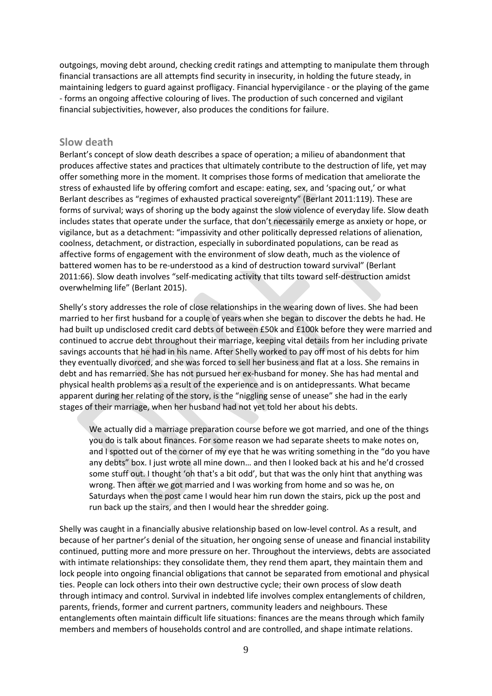outgoings, moving debt around, checking credit ratings and attempting to manipulate them through financial transactions are all attempts find security in insecurity, in holding the future steady, in maintaining ledgers to guard against profligacy. Financial hypervigilance - or the playing of the game - forms an ongoing affective colouring of lives. The production of such concerned and vigilant financial subjectivities, however, also produces the conditions for failure.

## **Slow death**

Berlant's concept of slow death describes a space of operation; a milieu of abandonment that produces affective states and practices that ultimately contribute to the destruction of life, yet may offer something more in the moment. It comprises those forms of medication that ameliorate the stress of exhausted life by offering comfort and escape: eating, sex, and 'spacing out,' or what Berlant describes as "regimes of exhausted practical sovereignty" (Berlant 2011:119). These are forms of survival; ways of shoring up the body against the slow violence of everyday life. Slow death includes states that operate under the surface, that don't necessarily emerge as anxiety or hope, or vigilance, but as a detachment: "impassivity and other politically depressed relations of alienation, coolness, detachment, or distraction, especially in subordinated populations, can be read as affective forms of engagement with the environment of slow death, much as the violence of battered women has to be re-understood as a kind of destruction toward survival" (Berlant 2011:66). Slow death involves "self-medicating activity that tilts toward self-destruction amidst overwhelming life" (Berlant 2015).

Shelly's story addresses the role of close relationships in the wearing down of lives. She had been married to her first husband for a couple of years when she began to discover the debts he had. He had built up undisclosed credit card debts of between £50k and £100k before they were married and continued to accrue debt throughout their marriage, keeping vital details from her including private savings accounts that he had in his name. After Shelly worked to pay off most of his debts for him they eventually divorced, and she was forced to sell her business and flat at a loss. She remains in debt and has remarried. She has not pursued her ex-husband for money. She has had mental and physical health problems as a result of the experience and is on antidepressants. What became apparent during her relating of the story, is the "niggling sense of unease" she had in the early stages of their marriage, when her husband had not yet told her about his debts.

We actually did a marriage preparation course before we got married, and one of the things you do is talk about finances. For some reason we had separate sheets to make notes on, and I spotted out of the corner of my eye that he was writing something in the "do you have any debts" box. I just wrote all mine down… and then I looked back at his and he'd crossed some stuff out. I thought 'oh that's a bit odd', but that was the only hint that anything was wrong. Then after we got married and I was working from home and so was he, on Saturdays when the post came I would hear him run down the stairs, pick up the post and run back up the stairs, and then I would hear the shredder going.

Shelly was caught in a financially abusive relationship based on low-level control. As a result, and because of her partner's denial of the situation, her ongoing sense of unease and financial instability continued, putting more and more pressure on her. Throughout the interviews, debts are associated with intimate relationships: they consolidate them, they rend them apart, they maintain them and lock people into ongoing financial obligations that cannot be separated from emotional and physical ties. People can lock others into their own destructive cycle; their own process of slow death through intimacy and control. Survival in indebted life involves complex entanglements of children, parents, friends, former and current partners, community leaders and neighbours. These entanglements often maintain difficult life situations: finances are the means through which family members and members of households control and are controlled, and shape intimate relations.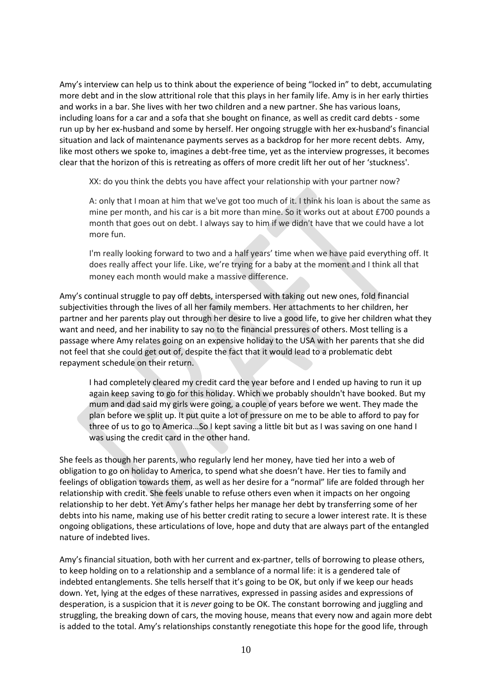Amy's interview can help us to think about the experience of being "locked in" to debt, accumulating more debt and in the slow attritional role that this plays in her family life. Amy is in her early thirties and works in a bar. She lives with her two children and a new partner. She has various loans, including loans for a car and a sofa that she bought on finance, as well as credit card debts - some run up by her ex-husband and some by herself. Her ongoing struggle with her ex-husband's financial situation and lack of maintenance payments serves as a backdrop for her more recent debts. Amy, like most others we spoke to, imagines a debt-free time, yet as the interview progresses, it becomes clear that the horizon of this is retreating as offers of more credit lift her out of her 'stuckness'.

XX: do you think the debts you have affect your relationship with your partner now?

A: only that I moan at him that we've got too much of it. I think his loan is about the same as mine per month, and his car is a bit more than mine. So it works out at about £700 pounds a month that goes out on debt. I always say to him if we didn't have that we could have a lot more fun.

I'm really looking forward to two and a half years' time when we have paid everything off. It does really affect your life. Like, we're trying for a baby at the moment and I think all that money each month would make a massive difference.

Amy's continual struggle to pay off debts, interspersed with taking out new ones, fold financial subjectivities through the lives of all her family members. Her attachments to her children, her partner and her parents play out through her desire to live a good life, to give her children what they want and need, and her inability to say no to the financial pressures of others. Most telling is a passage where Amy relates going on an expensive holiday to the USA with her parents that she did not feel that she could get out of, despite the fact that it would lead to a problematic debt repayment schedule on their return.

I had completely cleared my credit card the year before and I ended up having to run it up again keep saving to go for this holiday. Which we probably shouldn't have booked. But my mum and dad said my girls were going, a couple of years before we went. They made the plan before we split up. It put quite a lot of pressure on me to be able to afford to pay for three of us to go to America…So I kept saving a little bit but as I was saving on one hand I was using the credit card in the other hand.

She feels as though her parents, who regularly lend her money, have tied her into a web of obligation to go on holiday to America, to spend what she doesn't have. Her ties to family and feelings of obligation towards them, as well as her desire for a "normal" life are folded through her relationship with credit. She feels unable to refuse others even when it impacts on her ongoing relationship to her debt. Yet Amy's father helps her manage her debt by transferring some of her debts into his name, making use of his better credit rating to secure a lower interest rate. It is these ongoing obligations, these articulations of love, hope and duty that are always part of the entangled nature of indebted lives.

Amy's financial situation, both with her current and ex-partner, tells of borrowing to please others, to keep holding on to a relationship and a semblance of a normal life: it is a gendered tale of indebted entanglements. She tells herself that it's going to be OK, but only if we keep our heads down. Yet, lying at the edges of these narratives, expressed in passing asides and expressions of desperation, is a suspicion that it is *never* going to be OK. The constant borrowing and juggling and struggling, the breaking down of cars, the moving house, means that every now and again more debt is added to the total. Amy's relationships constantly renegotiate this hope for the good life, through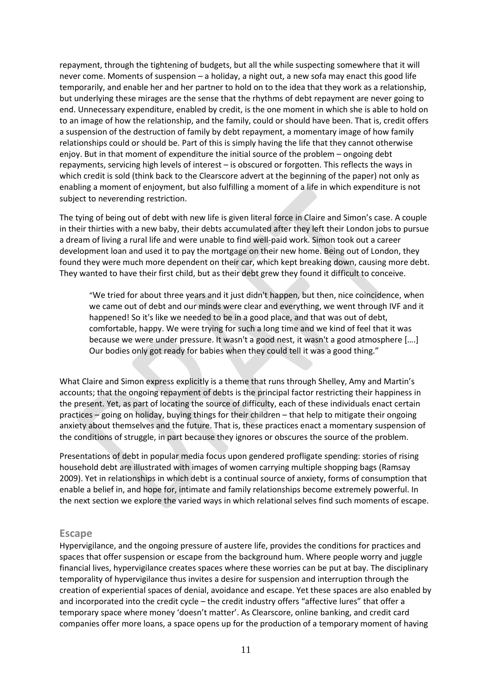repayment, through the tightening of budgets, but all the while suspecting somewhere that it will never come. Moments of suspension – a holiday, a night out, a new sofa may enact this good life temporarily, and enable her and her partner to hold on to the idea that they work as a relationship, but underlying these mirages are the sense that the rhythms of debt repayment are never going to end. Unnecessary expenditure, enabled by credit, is the one moment in which she is able to hold on to an image of how the relationship, and the family, could or should have been. That is, credit offers a suspension of the destruction of family by debt repayment, a momentary image of how family relationships could or should be. Part of this is simply having the life that they cannot otherwise enjoy. But in that moment of expenditure the initial source of the problem – ongoing debt repayments, servicing high levels of interest – is obscured or forgotten. This reflects the ways in which credit is sold (think back to the Clearscore advert at the beginning of the paper) not only as enabling a moment of enjoyment, but also fulfilling a moment of a life in which expenditure is not subject to neverending restriction.

The tying of being out of debt with new life is given literal force in Claire and Simon's case. A couple in their thirties with a new baby, their debts accumulated after they left their London jobs to pursue a dream of living a rural life and were unable to find well-paid work. Simon took out a career development loan and used it to pay the mortgage on their new home. Being out of London, they found they were much more dependent on their car, which kept breaking down, causing more debt. They wanted to have their first child, but as their debt grew they found it difficult to conceive.

"We tried for about three years and it just didn't happen, but then, nice coincidence, when we came out of debt and our minds were clear and everything, we went through IVF and it happened! So it's like we needed to be in a good place, and that was out of debt, comfortable, happy. We were trying for such a long time and we kind of feel that it was because we were under pressure. It wasn't a good nest, it wasn't a good atmosphere [….] Our bodies only got ready for babies when they could tell it was a good thing."

What Claire and Simon express explicitly is a theme that runs through Shelley, Amy and Martin's accounts; that the ongoing repayment of debts is the principal factor restricting their happiness in the present. Yet, as part of locating the source of difficulty, each of these individuals enact certain practices – going on holiday, buying things for their children – that help to mitigate their ongoing anxiety about themselves and the future. That is, these practices enact a momentary suspension of the conditions of struggle, in part because they ignores or obscures the source of the problem.

Presentations of debt in popular media focus upon gendered profligate spending: stories of rising household debt are illustrated with images of women carrying multiple shopping bags (Ramsay 2009). Yet in relationships in which debt is a continual source of anxiety, forms of consumption that enable a belief in, and hope for, intimate and family relationships become extremely powerful. In the next section we explore the varied ways in which relational selves find such moments of escape.

### **Escape**

Hypervigilance, and the ongoing pressure of austere life, provides the conditions for practices and spaces that offer suspension or escape from the background hum. Where people worry and juggle financial lives, hypervigilance creates spaces where these worries can be put at bay. The disciplinary temporality of hypervigilance thus invites a desire for suspension and interruption through the creation of experiential spaces of denial, avoidance and escape. Yet these spaces are also enabled by and incorporated into the credit cycle – the credit industry offers "affective lures" that offer a temporary space where money 'doesn't matter'. As Clearscore, online banking, and credit card companies offer more loans, a space opens up for the production of a temporary moment of having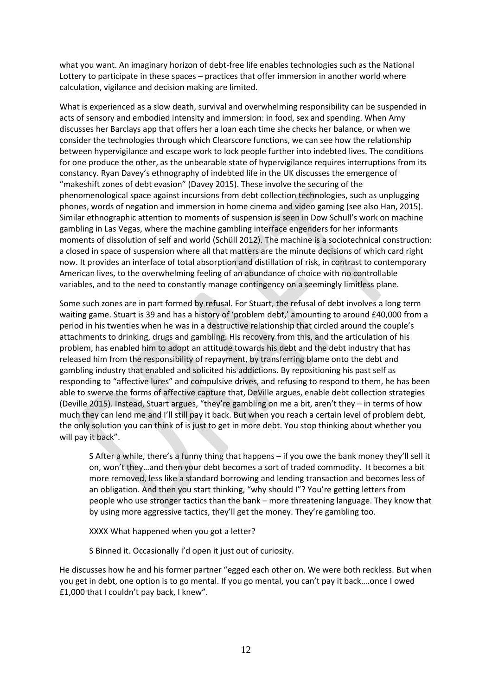what you want. An imaginary horizon of debt-free life enables technologies such as the National Lottery to participate in these spaces – practices that offer immersion in another world where calculation, vigilance and decision making are limited.

What is experienced as a slow death, survival and overwhelming responsibility can be suspended in acts of sensory and embodied intensity and immersion: in food, sex and spending. When Amy discusses her Barclays app that offers her a loan each time she checks her balance, or when we consider the technologies through which Clearscore functions, we can see how the relationship between hypervigilance and escape work to lock people further into indebted lives. The conditions for one produce the other, as the unbearable state of hypervigilance requires interruptions from its constancy. Ryan Davey's ethnography of indebted life in the UK discusses the emergence of "makeshift zones of debt evasion" (Davey 2015). These involve the securing of the phenomenological space against incursions from debt collection technologies, such as unplugging phones, words of negation and immersion in home cinema and video gaming (see also Han, 2015). Similar ethnographic attention to moments of suspension is seen in Dow Schull's work on machine gambling in Las Vegas, where the machine gambling interface engenders for her informants moments of dissolution of self and world (Schüll 2012). The machine is a sociotechnical construction: a closed in space of suspension where all that matters are the minute decisions of which card right now. It provides an interface of total absorption and distillation of risk, in contrast to contemporary American lives, to the overwhelming feeling of an abundance of choice with no controllable variables, and to the need to constantly manage contingency on a seemingly limitless plane.

Some such zones are in part formed by refusal. For Stuart, the refusal of debt involves a long term waiting game. Stuart is 39 and has a history of 'problem debt,' amounting to around £40,000 from a period in his twenties when he was in a destructive relationship that circled around the couple's attachments to drinking, drugs and gambling. His recovery from this, and the articulation of his problem, has enabled him to adopt an attitude towards his debt and the debt industry that has released him from the responsibility of repayment, by transferring blame onto the debt and gambling industry that enabled and solicited his addictions. By repositioning his past self as responding to "affective lures" and compulsive drives, and refusing to respond to them, he has been able to swerve the forms of affective capture that, DeVille argues, enable debt collection strategies (Deville 2015). Instead, Stuart argues, "they're gambling on me a bit, aren't they – in terms of how much they can lend me and I'll still pay it back. But when you reach a certain level of problem debt, the only solution you can think of is just to get in more debt. You stop thinking about whether you will pay it back".

S After a while, there's a funny thing that happens – if you owe the bank money they'll sell it on, won't they…and then your debt becomes a sort of traded commodity. It becomes a bit more removed, less like a standard borrowing and lending transaction and becomes less of an obligation. And then you start thinking, "why should I"? You're getting letters from people who use stronger tactics than the bank – more threatening language. They know that by using more aggressive tactics, they'll get the money. They're gambling too.

XXXX What happened when you got a letter?

S Binned it. Occasionally I'd open it just out of curiosity.

He discusses how he and his former partner "egged each other on. We were both reckless. But when you get in debt, one option is to go mental. If you go mental, you can't pay it back….once I owed £1,000 that I couldn't pay back, I knew".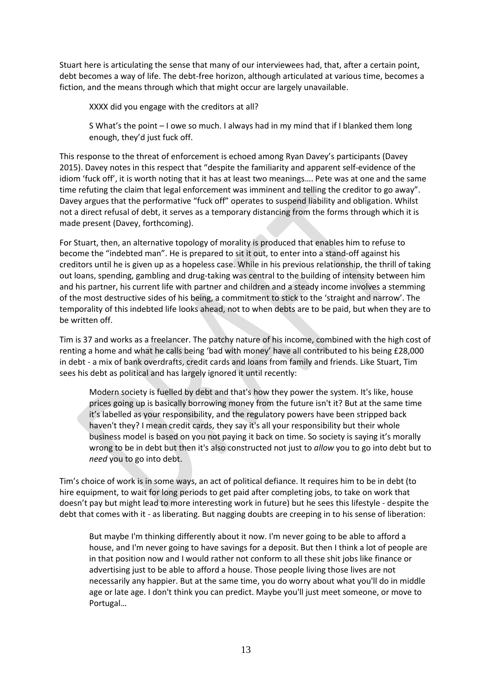Stuart here is articulating the sense that many of our interviewees had, that, after a certain point, debt becomes a way of life. The debt-free horizon, although articulated at various time, becomes a fiction, and the means through which that might occur are largely unavailable.

XXXX did you engage with the creditors at all?

S What's the point – I owe so much. I always had in my mind that if I blanked them long enough, they'd just fuck off.

This response to the threat of enforcement is echoed among Ryan Davey's participants (Davey 2015). Davey notes in this respect that "despite the familiarity and apparent self-evidence of the idiom 'fuck off', it is worth noting that it has at least two meanings…. Pete was at one and the same time refuting the claim that legal enforcement was imminent and telling the creditor to go away". Davey argues that the performative "fuck off" operates to suspend liability and obligation. Whilst not a direct refusal of debt, it serves as a temporary distancing from the forms through which it is made present (Davey, forthcoming).

For Stuart, then, an alternative topology of morality is produced that enables him to refuse to become the "indebted man". He is prepared to sit it out, to enter into a stand-off against his creditors until he is given up as a hopeless case. While in his previous relationship, the thrill of taking out loans, spending, gambling and drug-taking was central to the building of intensity between him and his partner, his current life with partner and children and a steady income involves a stemming of the most destructive sides of his being, a commitment to stick to the 'straight and narrow'. The temporality of this indebted life looks ahead, not to when debts are to be paid, but when they are to be written off.

Tim is 37 and works as a freelancer. The patchy nature of his income, combined with the high cost of renting a home and what he calls being 'bad with money' have all contributed to his being £28,000 in debt - a mix of bank overdrafts, credit cards and loans from family and friends. Like Stuart, Tim sees his debt as political and has largely ignored it until recently:

Modern society is fuelled by debt and that's how they power the system. It's like, house prices going up is basically borrowing money from the future isn't it? But at the same time it's labelled as your responsibility, and the regulatory powers have been stripped back haven't they? I mean credit cards, they say it's all your responsibility but their whole business model is based on you not paying it back on time. So society is saying it's morally wrong to be in debt but then it's also constructed not just to *allow* you to go into debt but to *need* you to go into debt.

Tim's choice of work is in some ways, an act of political defiance. It requires him to be in debt (to hire equipment, to wait for long periods to get paid after completing jobs, to take on work that doesn't pay but might lead to more interesting work in future) but he sees this lifestyle - despite the debt that comes with it - as liberating. But nagging doubts are creeping in to his sense of liberation:

But maybe I'm thinking differently about it now. I'm never going to be able to afford a house, and I'm never going to have savings for a deposit. But then I think a lot of people are in that position now and I would rather not conform to all these shit jobs like finance or advertising just to be able to afford a house. Those people living those lives are not necessarily any happier. But at the same time, you do worry about what you'll do in middle age or late age. I don't think you can predict. Maybe you'll just meet someone, or move to Portugal…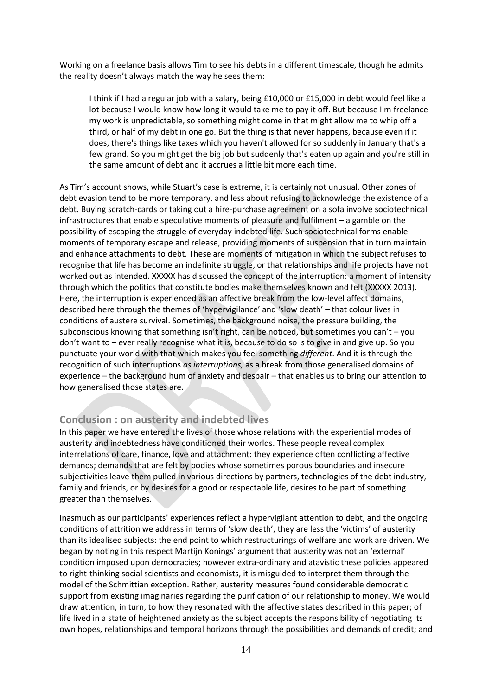Working on a freelance basis allows Tim to see his debts in a different timescale, though he admits the reality doesn't always match the way he sees them:

I think if I had a regular job with a salary, being £10,000 or £15,000 in debt would feel like a lot because I would know how long it would take me to pay it off. But because I'm freelance my work is unpredictable, so something might come in that might allow me to whip off a third, or half of my debt in one go. But the thing is that never happens, because even if it does, there's things like taxes which you haven't allowed for so suddenly in January that's a few grand. So you might get the big job but suddenly that's eaten up again and you're still in the same amount of debt and it accrues a little bit more each time.

As Tim's account shows, while Stuart's case is extreme, it is certainly not unusual. Other zones of debt evasion tend to be more temporary, and less about refusing to acknowledge the existence of a debt. Buying scratch-cards or taking out a hire-purchase agreement on a sofa involve sociotechnical infrastructures that enable speculative moments of pleasure and fulfilment – a gamble on the possibility of escaping the struggle of everyday indebted life. Such sociotechnical forms enable moments of temporary escape and release, providing moments of suspension that in turn maintain and enhance attachments to debt. These are moments of mitigation in which the subject refuses to recognise that life has become an indefinite struggle, or that relationships and life projects have not worked out as intended. XXXXX has discussed the concept of the interruption: a moment of intensity through which the politics that constitute bodies make themselves known and felt (XXXXX 2013). Here, the interruption is experienced as an affective break from the low-level affect domains, described here through the themes of 'hypervigilance' and 'slow death' – that colour lives in conditions of austere survival. Sometimes, the background noise, the pressure building, the subconscious knowing that something isn't right, can be noticed, but sometimes you can't – you don't want to – ever really recognise what it is, because to do so is to give in and give up. So you punctuate your world with that which makes you feel something *different*. And it is through the recognition of such interruptions *as interruptions,* as a break from those generalised domains of experience – the background hum of anxiety and despair – that enables us to bring our attention to how generalised those states are.

# **Conclusion : on austerity and indebted lives**

In this paper we have entered the lives of those whose relations with the experiential modes of austerity and indebtedness have conditioned their worlds. These people reveal complex interrelations of care, finance, love and attachment: they experience often conflicting affective demands; demands that are felt by bodies whose sometimes porous boundaries and insecure subjectivities leave them pulled in various directions by partners, technologies of the debt industry, family and friends, or by desires for a good or respectable life, desires to be part of something greater than themselves.

Inasmuch as our participants' experiences reflect a hypervigilant attention to debt, and the ongoing conditions of attrition we address in terms of 'slow death', they are less the 'victims' of austerity than its idealised subjects: the end point to which restructurings of welfare and work are driven. We began by noting in this respect Martijn Konings' argument that austerity was not an 'external' condition imposed upon democracies; however extra-ordinary and atavistic these policies appeared to right-thinking social scientists and economists, it is misguided to interpret them through the model of the Schmittian exception. Rather, austerity measures found considerable democratic support from existing imaginaries regarding the purification of our relationship to money. We would draw attention, in turn, to how they resonated with the affective states described in this paper; of life lived in a state of heightened anxiety as the subject accepts the responsibility of negotiating its own hopes, relationships and temporal horizons through the possibilities and demands of credit; and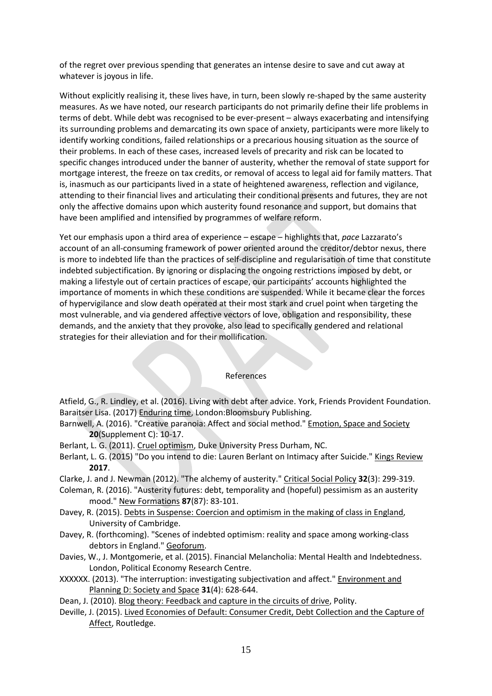of the regret over previous spending that generates an intense desire to save and cut away at whatever is joyous in life.

Without explicitly realising it, these lives have, in turn, been slowly re-shaped by the same austerity measures. As we have noted, our research participants do not primarily define their life problems in terms of debt. While debt was recognised to be ever-present – always exacerbating and intensifying its surrounding problems and demarcating its own space of anxiety, participants were more likely to identify working conditions, failed relationships or a precarious housing situation as the source of their problems. In each of these cases, increased levels of precarity and risk can be located to specific changes introduced under the banner of austerity, whether the removal of state support for mortgage interest, the freeze on tax credits, or removal of access to legal aid for family matters. That is, inasmuch as our participants lived in a state of heightened awareness, reflection and vigilance, attending to their financial lives and articulating their conditional presents and futures, they are not only the affective domains upon which austerity found resonance and support, but domains that have been amplified and intensified by programmes of welfare reform.

Yet our emphasis upon a third area of experience – escape – highlights that, *pace* Lazzarato's account of an all-consuming framework of power oriented around the creditor/debtor nexus, there is more to indebted life than the practices of self-discipline and regularisation of time that constitute indebted subjectification. By ignoring or displacing the ongoing restrictions imposed by debt, or making a lifestyle out of certain practices of escape, our participants' accounts highlighted the importance of moments in which these conditions are suspended. While it became clear the forces of hypervigilance and slow death operated at their most stark and cruel point when targeting the most vulnerable, and via gendered affective vectors of love, obligation and responsibility, these demands, and the anxiety that they provoke, also lead to specifically gendered and relational strategies for their alleviation and for their mollification.

### References

Atfield, G., R. Lindley, et al. (2016). Living with debt after advice. York, Friends Provident Foundation. Baraitser Lisa. (2017) Enduring time, London:Bloomsbury Publishing.

- Barnwell, A. (2016). "Creative paranoia: Affect and social method." Emotion, Space and Society **20**(Supplement C): 10-17.
- Berlant, L. G. (2011). Cruel optimism, Duke University Press Durham, NC.
- Berlant, L. G. (2015) "Do you intend to die: Lauren Berlant on Intimacy after Suicide." Kings Review **2017**.
- Clarke, J. and J. Newman (2012). "The alchemy of austerity." Critical Social Policy **32**(3): 299-319.
- Coleman, R. (2016). "Austerity futures: debt, temporality and (hopeful) pessimism as an austerity mood." New Formations **87**(87): 83-101.
- Davey, R. (2015). Debts in Suspense: Coercion and optimism in the making of class in England, University of Cambridge.
- Davey, R. (forthcoming). "Scenes of indebted optimism: reality and space among working-class debtors in England." Geoforum.
- Davies, W., J. Montgomerie, et al. (2015). Financial Melancholia: Mental Health and Indebtedness. London, Political Economy Research Centre.
- XXXXXX. (2013). "The interruption: investigating subjectivation and affect." Environment and Planning D: Society and Space **31**(4): 628-644.
- Dean, J. (2010). Blog theory: Feedback and capture in the circuits of drive, Polity.
- Deville, J. (2015). Lived Economies of Default: Consumer Credit, Debt Collection and the Capture of Affect, Routledge.